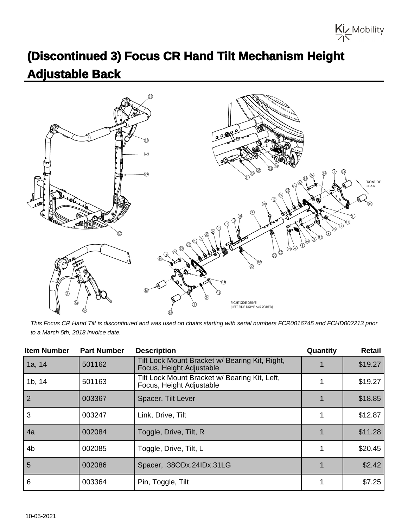Kiz Mobility

## **(Discontinued 3) Focus CR Hand Tilt Mechanism Height Adjustable Back**



This Focus CR Hand Tilt is discontinued and was used on chairs starting with serial numbers FCR0016745 and FCHD002213 prior to a March 5th, 2018 invoice date.

| <b>Item Number</b> | <b>Part Number</b> | <b>Description</b>                                                         | Quantity | <b>Retail</b> |
|--------------------|--------------------|----------------------------------------------------------------------------|----------|---------------|
| 1a, 14             | 501162             | Tilt Lock Mount Bracket w/ Bearing Kit, Right,<br>Focus, Height Adjustable |          | \$19.27       |
| 1b, 14             | 501163             | Tilt Lock Mount Bracket w/ Bearing Kit, Left,<br>Focus, Height Adjustable  |          | \$19.27       |
| $\overline{2}$     | 003367             | Spacer, Tilt Lever                                                         |          | \$18.85       |
| 3                  | 003247             | Link, Drive, Tilt                                                          |          | \$12.87       |
| 4a                 | 002084             | Toggle, Drive, Tilt, R                                                     |          | \$11.28       |
| 4 <sub>b</sub>     | 002085             | Toggle, Drive, Tilt, L                                                     |          | \$20.45       |
| 5                  | 002086             | Spacer, .38ODx.24IDx.31LG                                                  |          | \$2.42        |
| 6                  | 003364             | Pin, Toggle, Tilt                                                          |          | \$7.25        |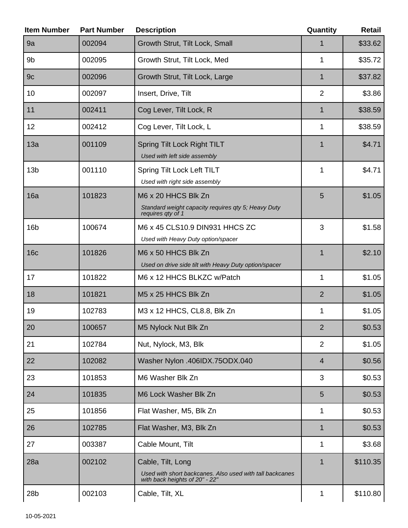| <b>Item Number</b> | <b>Part Number</b> | <b>Description</b>                                                                                              | Quantity       | <b>Retail</b> |
|--------------------|--------------------|-----------------------------------------------------------------------------------------------------------------|----------------|---------------|
| 9a                 | 002094             | Growth Strut, Tilt Lock, Small                                                                                  | 1              | \$33.62       |
| 9 <sub>b</sub>     | 002095             | Growth Strut, Tilt Lock, Med                                                                                    | 1              | \$35.72       |
| 9c                 | 002096             | Growth Strut, Tilt Lock, Large                                                                                  | $\mathbf 1$    | \$37.82       |
| 10                 | 002097             | Insert, Drive, Tilt                                                                                             | $\overline{2}$ | \$3.86        |
| 11                 | 002411             | Cog Lever, Tilt Lock, R                                                                                         | 1              | \$38.59       |
| 12                 | 002412             | Cog Lever, Tilt Lock, L                                                                                         | 1              | \$38.59       |
| 13a                | 001109             | Spring Tilt Lock Right TILT<br>Used with left side assembly                                                     | $\mathbf 1$    | \$4.71        |
| 13 <sub>b</sub>    | 001110             | Spring Tilt Lock Left TILT<br>Used with right side assembly                                                     | 1              | \$4.71        |
| 16a                | 101823             | M6 x 20 HHCS Blk Zn<br>Standard weight capacity requires qty 5; Heavy Duty<br>requires qty of 1                 | 5              | \$1.05        |
| 16 <sub>b</sub>    | 100674             | M6 x 45 CLS10.9 DIN931 HHCS ZC<br>Used with Heavy Duty option/spacer                                            | 3              | \$1.58        |
| 16 <sub>c</sub>    | 101826             | M6 x 50 HHCS Blk Zn<br>Used on drive side tilt with Heavy Duty option/spacer                                    | 1              | \$2.10        |
| 17                 | 101822             | M6 x 12 HHCS BLKZC w/Patch                                                                                      | 1              | \$1.05        |
| 18                 | 101821             | M5 x 25 HHCS Blk Zn                                                                                             | $\overline{2}$ | \$1.05        |
| 19                 | 102783             | M3 x 12 HHCS, CL8.8, Blk Zn                                                                                     | 1              | \$1.05        |
| 20                 | 100657             | M5 Nylock Nut Blk Zn                                                                                            | $\overline{2}$ | \$0.53        |
| 21                 | 102784             | Nut, Nylock, M3, Blk                                                                                            | $\overline{2}$ | \$1.05        |
| 22                 | 102082             | Washer Nylon .406IDX.75ODX.040                                                                                  | $\overline{4}$ | \$0.56        |
| 23                 | 101853             | M6 Washer Blk Zn                                                                                                | 3              | \$0.53        |
| 24                 | 101835             | M6 Lock Washer Blk Zn                                                                                           | 5              | \$0.53        |
| 25                 | 101856             | Flat Washer, M5, Blk Zn                                                                                         | 1              | \$0.53        |
| 26                 | 102785             | Flat Washer, M3, Blk Zn                                                                                         | 1              | \$0.53        |
| 27                 | 003387             | Cable Mount, Tilt                                                                                               | 1              | \$3.68        |
| 28a                | 002102             | Cable, Tilt, Long<br>Used with short backcanes. Also used with tall backcanes<br>with back heights of 20" - 22" | $\mathbf 1$    | \$110.35      |
| 28b                | 002103             | Cable, Tilt, XL                                                                                                 | 1              | \$110.80      |